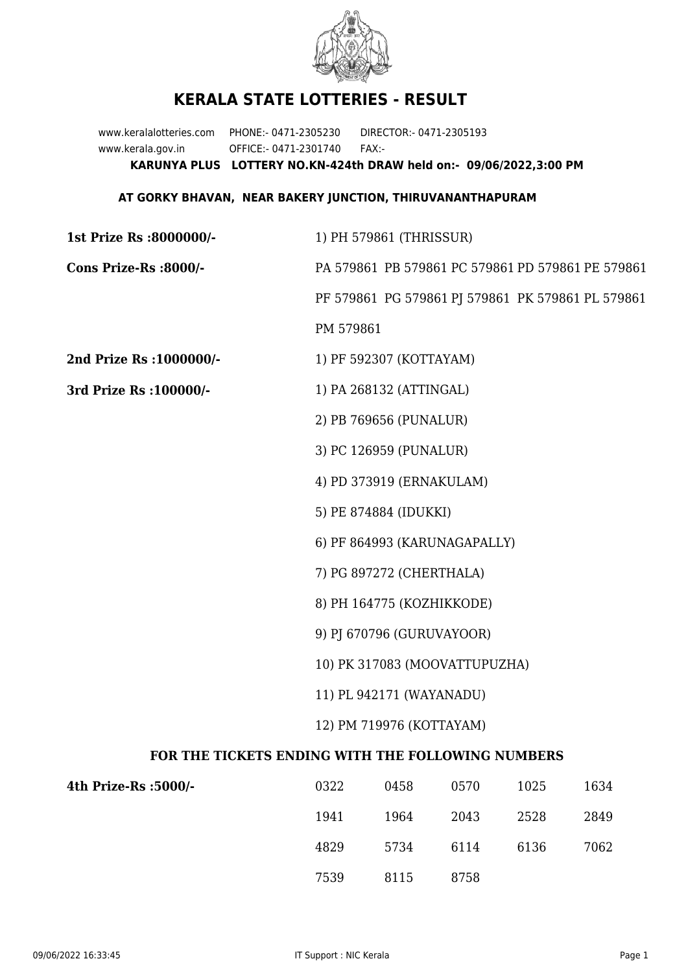

## **KERALA STATE LOTTERIES - RESULT**

www.keralalotteries.com PHONE:- 0471-2305230 DIRECTOR:- 0471-2305193 www.kerala.gov.in OFFICE:- 0471-2301740 FAX:- **KARUNYA PLUS LOTTERY NO.KN-424th DRAW held on:- 09/06/2022,3:00 PM**

## **AT GORKY BHAVAN, NEAR BAKERY JUNCTION, THIRUVANANTHAPURAM**

| 1st Prize Rs :8000000/-                           | 1) PH 579861 (THRISSUR)                           |                          |                              |         |                                                   |  |  |
|---------------------------------------------------|---------------------------------------------------|--------------------------|------------------------------|---------|---------------------------------------------------|--|--|
| Cons Prize-Rs :8000/-                             | PA 579861 PB 579861 PC 579861 PD 579861 PE 579861 |                          |                              |         |                                                   |  |  |
|                                                   |                                                   |                          |                              |         | PF 579861 PG 579861 PJ 579861 PK 579861 PL 579861 |  |  |
|                                                   | PM 579861                                         |                          |                              |         |                                                   |  |  |
| 2nd Prize Rs : 1000000/-                          |                                                   | 1) PF 592307 (KOTTAYAM)  |                              |         |                                                   |  |  |
| 3rd Prize Rs : 100000/-                           | 1) PA 268132 (ATTINGAL)                           |                          |                              |         |                                                   |  |  |
|                                                   |                                                   | 2) PB 769656 (PUNALUR)   |                              |         |                                                   |  |  |
|                                                   |                                                   | 3) PC 126959 (PUNALUR)   |                              |         |                                                   |  |  |
|                                                   |                                                   | 4) PD 373919 (ERNAKULAM) |                              |         |                                                   |  |  |
|                                                   |                                                   | 5) PE 874884 (IDUKKI)    |                              |         |                                                   |  |  |
|                                                   |                                                   |                          | 6) PF 864993 (KARUNAGAPALLY) |         |                                                   |  |  |
|                                                   |                                                   | 7) PG 897272 (CHERTHALA) |                              |         |                                                   |  |  |
|                                                   | 8) PH 164775 (KOZHIKKODE)                         |                          |                              |         |                                                   |  |  |
|                                                   | 9) PJ 670796 (GURUVAYOOR)                         |                          |                              |         |                                                   |  |  |
|                                                   | 10) PK 317083 (MOOVATTUPUZHA)                     |                          |                              |         |                                                   |  |  |
|                                                   | 11) PL 942171 (WAYANADU)                          |                          |                              |         |                                                   |  |  |
|                                                   | 12) PM 719976 (KOTTAYAM)                          |                          |                              |         |                                                   |  |  |
| FOR THE TICKETS ENDING WITH THE FOLLOWING NUMBERS |                                                   |                          |                              |         |                                                   |  |  |
| $4$ th Drize De (5000/ $\pm$                      | רכצם                                              | 0.158                    | 0570 L                       | 1 በ ን ቬ | 1631                                              |  |  |

| 4th Prize-Rs :5000/- | 0322 | 0458 | 0570 | 1025 | 1634 |
|----------------------|------|------|------|------|------|
|                      | 1941 | 1964 | 2043 | 2528 | 2849 |
|                      | 4829 | 5734 | 6114 | 6136 | 7062 |
|                      | 7539 | 8115 | 8758 |      |      |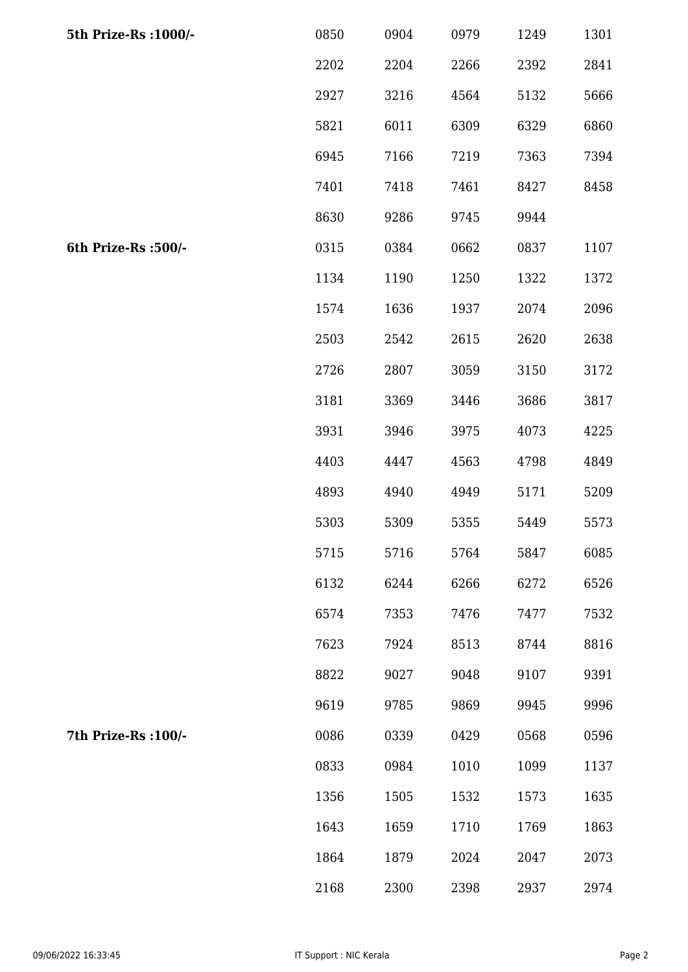| 5th Prize-Rs : 1000/- | 0850 | 0904 | 0979 | 1249 | 1301 |
|-----------------------|------|------|------|------|------|
|                       | 2202 | 2204 | 2266 | 2392 | 2841 |
|                       | 2927 | 3216 | 4564 | 5132 | 5666 |
|                       | 5821 | 6011 | 6309 | 6329 | 6860 |
|                       | 6945 | 7166 | 7219 | 7363 | 7394 |
|                       | 7401 | 7418 | 7461 | 8427 | 8458 |
|                       | 8630 | 9286 | 9745 | 9944 |      |
| 6th Prize-Rs :500/-   | 0315 | 0384 | 0662 | 0837 | 1107 |
|                       | 1134 | 1190 | 1250 | 1322 | 1372 |
|                       | 1574 | 1636 | 1937 | 2074 | 2096 |
|                       | 2503 | 2542 | 2615 | 2620 | 2638 |
|                       | 2726 | 2807 | 3059 | 3150 | 3172 |
|                       | 3181 | 3369 | 3446 | 3686 | 3817 |
|                       | 3931 | 3946 | 3975 | 4073 | 4225 |
|                       | 4403 | 4447 | 4563 | 4798 | 4849 |
|                       | 4893 | 4940 | 4949 | 5171 | 5209 |
|                       | 5303 | 5309 | 5355 | 5449 | 5573 |
|                       | 5715 | 5716 | 5764 | 5847 | 6085 |
|                       | 6132 | 6244 | 6266 | 6272 | 6526 |
|                       | 6574 | 7353 | 7476 | 7477 | 7532 |
|                       | 7623 | 7924 | 8513 | 8744 | 8816 |
|                       | 8822 | 9027 | 9048 | 9107 | 9391 |
|                       | 9619 | 9785 | 9869 | 9945 | 9996 |
| 7th Prize-Rs : 100/-  | 0086 | 0339 | 0429 | 0568 | 0596 |
|                       | 0833 | 0984 | 1010 | 1099 | 1137 |
|                       | 1356 | 1505 | 1532 | 1573 | 1635 |
|                       | 1643 | 1659 | 1710 | 1769 | 1863 |
|                       | 1864 | 1879 | 2024 | 2047 | 2073 |
|                       | 2168 | 2300 | 2398 | 2937 | 2974 |